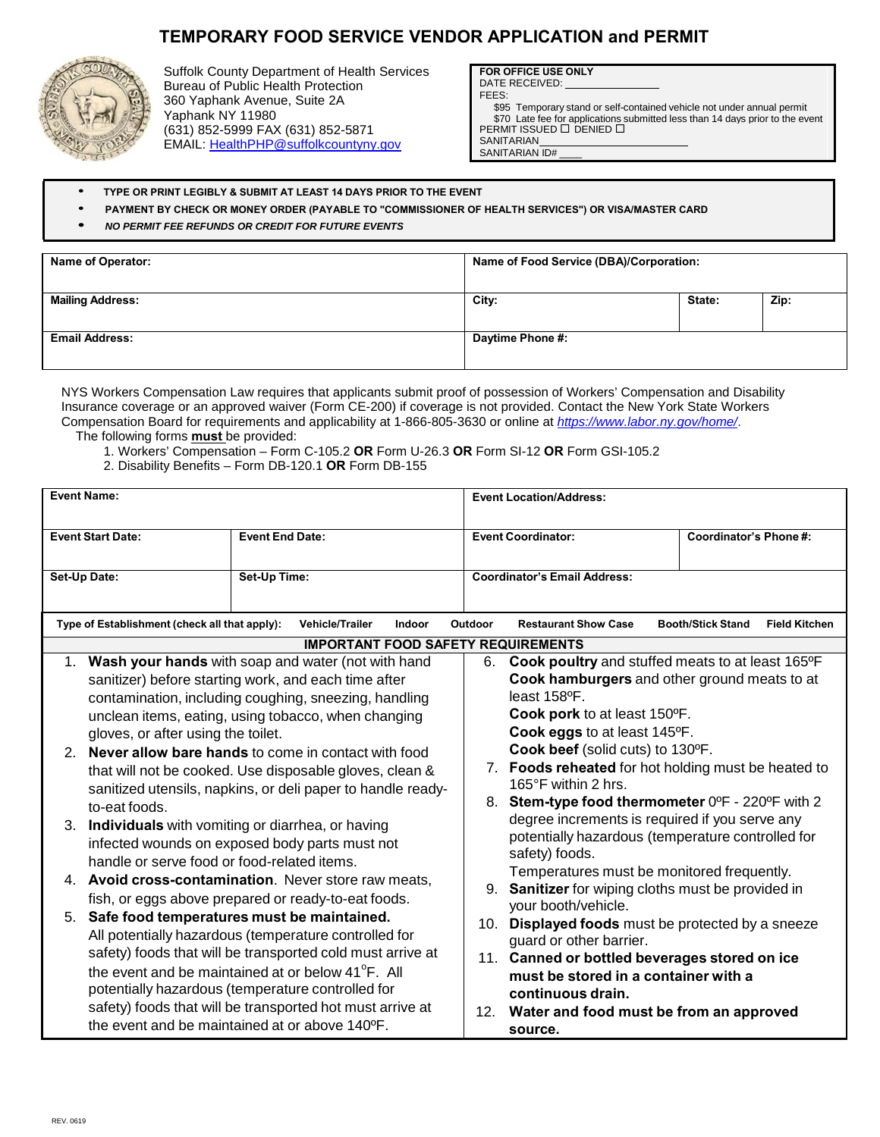## **TEMPORARY FOOD SERVICE VENDOR APPLICATION and PERMIT**



Suffolk County Department of Health Services Bureau of Public Health Protection 360 Yaphank Avenue, Suite 2A Yaphank NY 11980 (631) 852-5999 FAX (631) 852-5871 EMAIL: HealthPHP@suffolkcountyny.gov

**FOR OFFICE USE ONLY** DATE RECEIVED:

FEES:

\$95 Temporary stand or self-contained vehicle not under annual permit \$70 Late fee for applications submitted less than 14 days prior to the event<br>PERMIT ISSUED □ DENIED □ **SANITARIAN** 

SANITARIAN ID#

- **TYPE OR PRINT LEGIBLY & SUBMIT AT LEAST 14 DAYS PRIOR TO THE EVENT**
- **PAYMENT BY CHECK OR MONEY ORDER (PAYABLE TO "COMMISSIONER OF HEALTH SERVICES") OR VISA/MASTER CARD**
- *• NO PERMIT FEE REFUNDS OR CREDIT FOR FUTURE EVENTS*

| <b>Name of Operator:</b> | Name of Food Service (DBA)/Corporation: |        |      |  |
|--------------------------|-----------------------------------------|--------|------|--|
|                          |                                         |        |      |  |
| <b>Mailing Address:</b>  | City:                                   | State: | Zip: |  |
|                          |                                         |        |      |  |
| <b>Email Address:</b>    | Daytime Phone #:                        |        |      |  |
|                          |                                         |        |      |  |

NYS Workers Compensation Law requires that applicants submit proof of possession of Workers' Compensation and Disability Insurance coverage or an approved waiver (Form CE-200) if coverage is not provided. Contact the New York State Workers Compensation Board for requirements and applicability at 1-866-805-3630 or online at *https://www.labor.ny.gov/home/*. The following forms **must** be provided:

1. Workers' Compensation – Form C-105.2 **OR** Form U-26.3 **OR** Form SI-12 **OR** Form GSI-105.2

2. Disability Benefits – Form DB-120.1 **OR** Form DB-155

| <b>Event Name:</b>                                                                                                                                                                                                                                                                                                                                                                                                                                                                                                                                                                                                                                                                                     |                                                                                                                                                                                                                                                                                                                                                                                                                                                                |                          | <b>Event Location/Address:</b>                                                                                                                                                                                                                                                                                                                                                                                                                                                                                                      |                                                  |  |  |  |  |
|--------------------------------------------------------------------------------------------------------------------------------------------------------------------------------------------------------------------------------------------------------------------------------------------------------------------------------------------------------------------------------------------------------------------------------------------------------------------------------------------------------------------------------------------------------------------------------------------------------------------------------------------------------------------------------------------------------|----------------------------------------------------------------------------------------------------------------------------------------------------------------------------------------------------------------------------------------------------------------------------------------------------------------------------------------------------------------------------------------------------------------------------------------------------------------|--------------------------|-------------------------------------------------------------------------------------------------------------------------------------------------------------------------------------------------------------------------------------------------------------------------------------------------------------------------------------------------------------------------------------------------------------------------------------------------------------------------------------------------------------------------------------|--------------------------------------------------|--|--|--|--|
| <b>Event Start Date:</b>                                                                                                                                                                                                                                                                                                                                                                                                                                                                                                                                                                                                                                                                               | <b>Event End Date:</b>                                                                                                                                                                                                                                                                                                                                                                                                                                         |                          | <b>Event Coordinator:</b>                                                                                                                                                                                                                                                                                                                                                                                                                                                                                                           | Coordinator's Phone#:                            |  |  |  |  |
| Set-Up Date:                                                                                                                                                                                                                                                                                                                                                                                                                                                                                                                                                                                                                                                                                           | Set-Up Time:                                                                                                                                                                                                                                                                                                                                                                                                                                                   |                          | <b>Coordinator's Email Address:</b>                                                                                                                                                                                                                                                                                                                                                                                                                                                                                                 |                                                  |  |  |  |  |
| Type of Establishment (check all that apply):                                                                                                                                                                                                                                                                                                                                                                                                                                                                                                                                                                                                                                                          | <b>Vehicle/Trailer</b>                                                                                                                                                                                                                                                                                                                                                                                                                                         | Indoor<br><b>Outdoor</b> | <b>Restaurant Show Case</b>                                                                                                                                                                                                                                                                                                                                                                                                                                                                                                         | <b>Booth/Stick Stand</b><br><b>Field Kitchen</b> |  |  |  |  |
|                                                                                                                                                                                                                                                                                                                                                                                                                                                                                                                                                                                                                                                                                                        | <b>IMPORTANT FOOD SAFETY REQUIREMENTS</b>                                                                                                                                                                                                                                                                                                                                                                                                                      |                          |                                                                                                                                                                                                                                                                                                                                                                                                                                                                                                                                     |                                                  |  |  |  |  |
| 1. Wash your hands with soap and water (not with hand<br>sanitizer) before starting work, and each time after<br>contamination, including coughing, sneezing, handling<br>unclean items, eating, using tobacco, when changing<br>gloves, or after using the toilet.<br>Never allow bare hands to come in contact with food<br>$\mathcal{P}$<br>that will not be cooked. Use disposable gloves, clean &<br>sanitized utensils, napkins, or deli paper to handle ready-<br>to-eat foods.<br>3. Individuals with vomiting or diarrhea, or having<br>infected wounds on exposed body parts must not<br>handle or serve food or food-related items.<br>4. Avoid cross-contamination. Never store raw meats, |                                                                                                                                                                                                                                                                                                                                                                                                                                                                |                          | Cook poultry and stuffed meats to at least 165°F<br>6.<br>Cook hamburgers and other ground meats to at<br>least 158°F.<br>Cook pork to at least 150°F.<br>Cook eggs to at least 145°F.<br>Cook beef (solid cuts) to 130°F.<br>7. Foods reheated for hot holding must be heated to<br>165°F within 2 hrs.<br>8. Stem-type food thermometer 0°F - 220°F with 2<br>degree increments is required if you serve any<br>potentially hazardous (temperature controlled for<br>safety) foods.<br>Temperatures must be monitored frequently. |                                                  |  |  |  |  |
| 5.                                                                                                                                                                                                                                                                                                                                                                                                                                                                                                                                                                                                                                                                                                     | fish, or eggs above prepared or ready-to-eat foods.<br>Safe food temperatures must be maintained.<br>All potentially hazardous (temperature controlled for<br>safety) foods that will be transported cold must arrive at<br>the event and be maintained at or below 41 <sup>o</sup> F. All<br>potentially hazardous (temperature controlled for<br>safety) foods that will be transported hot must arrive at<br>the event and be maintained at or above 140°F. |                          | Sanitizer for wiping cloths must be provided in<br>9.<br>your booth/vehicle.<br>10. Displayed foods must be protected by a sneeze<br>guard or other barrier.<br>11. Canned or bottled beverages stored on ice<br>must be stored in a container with a<br>continuous drain.<br>Water and food must be from an approved<br>12.<br>source.                                                                                                                                                                                             |                                                  |  |  |  |  |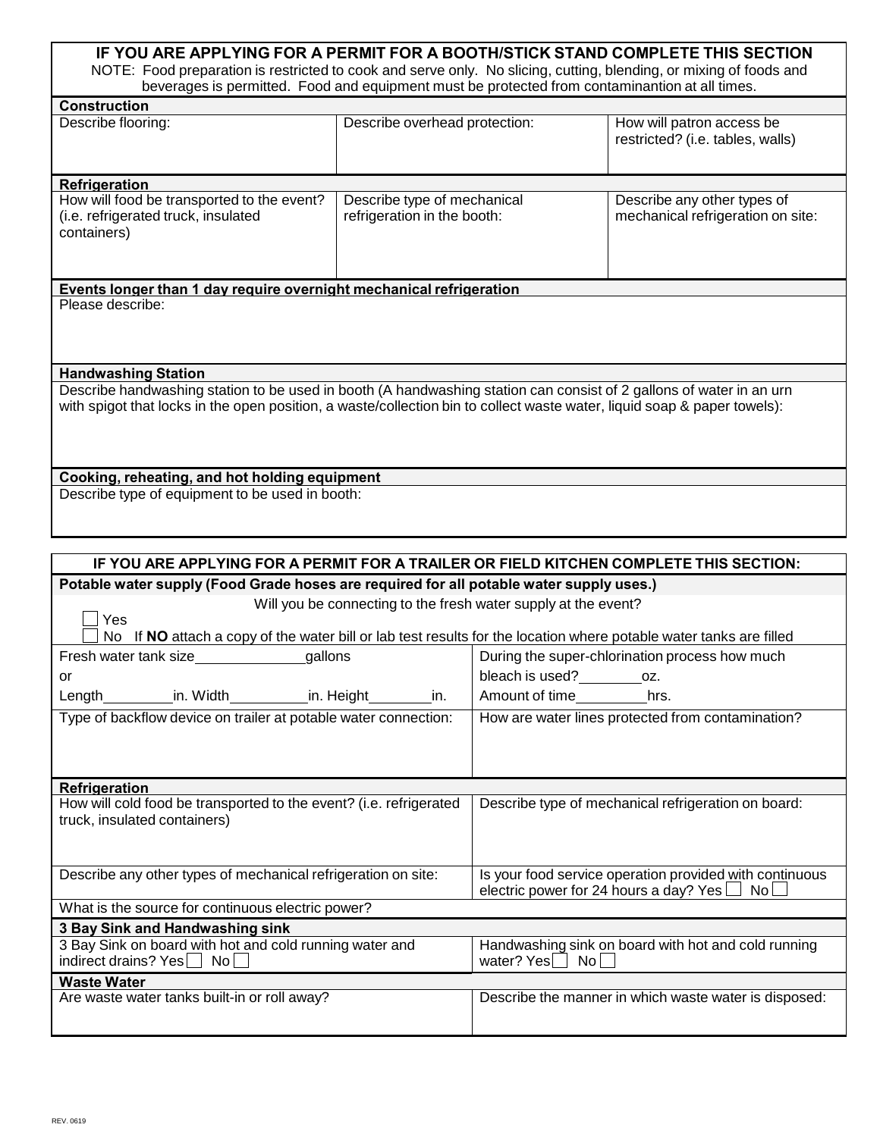| IF YOU ARE APPLYING FOR A PERMIT FOR A BOOTH/STICK STAND COMPLETE THIS SECTION<br>NOTE: Food preparation is restricted to cook and serve only. No slicing, cutting, blending, or mixing of foods and<br>beverages is permitted. Food and equipment must be protected from contaminantion at all times. |                                                            |                                                                  |  |  |  |  |  |  |  |
|--------------------------------------------------------------------------------------------------------------------------------------------------------------------------------------------------------------------------------------------------------------------------------------------------------|------------------------------------------------------------|------------------------------------------------------------------|--|--|--|--|--|--|--|
| <b>Construction</b>                                                                                                                                                                                                                                                                                    |                                                            |                                                                  |  |  |  |  |  |  |  |
| Describe flooring:                                                                                                                                                                                                                                                                                     | Describe overhead protection:                              | How will patron access be<br>restricted? (i.e. tables, walls)    |  |  |  |  |  |  |  |
| Refrigeration                                                                                                                                                                                                                                                                                          |                                                            |                                                                  |  |  |  |  |  |  |  |
| How will food be transported to the event?<br>(i.e. refrigerated truck, insulated<br>containers)                                                                                                                                                                                                       | Describe type of mechanical<br>refrigeration in the booth: | Describe any other types of<br>mechanical refrigeration on site: |  |  |  |  |  |  |  |
| Please describe:                                                                                                                                                                                                                                                                                       |                                                            |                                                                  |  |  |  |  |  |  |  |
| <b>Handwashing Station</b>                                                                                                                                                                                                                                                                             |                                                            |                                                                  |  |  |  |  |  |  |  |
| Describe handwashing station to be used in booth (A handwashing station can consist of 2 gallons of water in an urn<br>with spigot that locks in the open position, a waste/collection bin to collect waste water, liquid soap & paper towels):                                                        |                                                            |                                                                  |  |  |  |  |  |  |  |
| Cooking, reheating, and hot holding equipment                                                                                                                                                                                                                                                          |                                                            |                                                                  |  |  |  |  |  |  |  |
| Describe type of equipment to be used in booth:                                                                                                                                                                                                                                                        |                                                            |                                                                  |  |  |  |  |  |  |  |

| IF YOU ARE APPLYING FOR A PERMIT FOR A TRAILER OR FIELD KITCHEN COMPLETE THIS SECTION:                             |                                                         |  |  |  |  |  |  |
|--------------------------------------------------------------------------------------------------------------------|---------------------------------------------------------|--|--|--|--|--|--|
| Potable water supply (Food Grade hoses are required for all potable water supply uses.)                            |                                                         |  |  |  |  |  |  |
| Will you be connecting to the fresh water supply at the event?                                                     |                                                         |  |  |  |  |  |  |
| Yes                                                                                                                |                                                         |  |  |  |  |  |  |
| No If NO attach a copy of the water bill or lab test results for the location where potable water tanks are filled |                                                         |  |  |  |  |  |  |
| Fresh water tank size <b>state</b> gallons                                                                         | During the super-chlorination process how much          |  |  |  |  |  |  |
| or                                                                                                                 | bleach is used?____________oz.                          |  |  |  |  |  |  |
| Length_____________in. Width______________in. Height____________in.                                                | Amount of time___________hrs.                           |  |  |  |  |  |  |
| Type of backflow device on trailer at potable water connection:                                                    | How are water lines protected from contamination?       |  |  |  |  |  |  |
|                                                                                                                    |                                                         |  |  |  |  |  |  |
|                                                                                                                    |                                                         |  |  |  |  |  |  |
|                                                                                                                    |                                                         |  |  |  |  |  |  |
| Refrigeration<br>How will cold food be transported to the event? (i.e. refrigerated                                | Describe type of mechanical refrigeration on board:     |  |  |  |  |  |  |
| truck, insulated containers)                                                                                       |                                                         |  |  |  |  |  |  |
|                                                                                                                    |                                                         |  |  |  |  |  |  |
|                                                                                                                    |                                                         |  |  |  |  |  |  |
| Describe any other types of mechanical refrigeration on site:                                                      | Is your food service operation provided with continuous |  |  |  |  |  |  |
|                                                                                                                    | electric power for 24 hours a day? Yes $\Box$ No $\Box$ |  |  |  |  |  |  |
| What is the source for continuous electric power?                                                                  |                                                         |  |  |  |  |  |  |
| 3 Bay Sink and Handwashing sink                                                                                    |                                                         |  |  |  |  |  |  |
| 3 Bay Sink on board with hot and cold running water and                                                            | Handwashing sink on board with hot and cold running     |  |  |  |  |  |  |
| indirect drains? Yes   No                                                                                          | water? Yes<br>No l                                      |  |  |  |  |  |  |
| <b>Waste Water</b>                                                                                                 |                                                         |  |  |  |  |  |  |
| Are waste water tanks built-in or roll away?                                                                       | Describe the manner in which waste water is disposed:   |  |  |  |  |  |  |
|                                                                                                                    |                                                         |  |  |  |  |  |  |
|                                                                                                                    |                                                         |  |  |  |  |  |  |